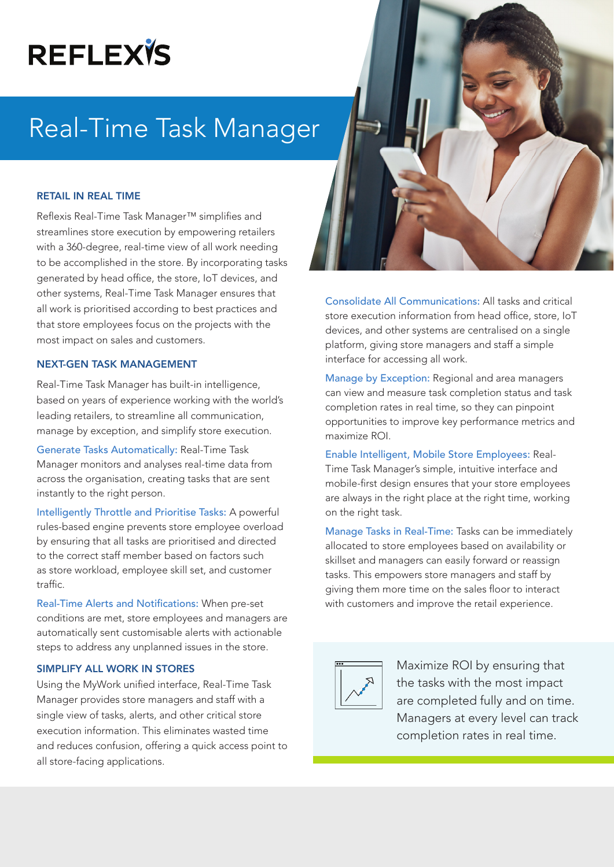# **REFLEXTS**

## Real-Time Task Manager

#### RETAIL IN REAL TIME

Reflexis Real-Time Task Manager™ simplifies and streamlines store execution by empowering retailers with a 360-degree, real-time view of all work needing to be accomplished in the store. By incorporating tasks generated by head office, the store, IoT devices, and other systems, Real-Time Task Manager ensures that all work is prioritised according to best practices and that store employees focus on the projects with the most impact on sales and customers.

#### NEXT-GEN TASK MANAGEMENT

Real-Time Task Manager has built-in intelligence, based on years of experience working with the world's leading retailers, to streamline all communication, manage by exception, and simplify store execution.

Generate Tasks Automatically: Real-Time Task Manager monitors and analyses real-time data from across the organisation, creating tasks that are sent instantly to the right person.

Intelligently Throttle and Prioritise Tasks: A powerful rules-based engine prevents store employee overload by ensuring that all tasks are prioritised and directed to the correct staff member based on factors such as store workload, employee skill set, and customer traffic.

Real-Time Alerts and Notifications: When pre-set conditions are met, store employees and managers are automatically sent customisable alerts with actionable steps to address any unplanned issues in the store.

#### SIMPLIFY ALL WORK IN STORES

Using the MyWork unified interface, Real-Time Task Manager provides store managers and staff with a single view of tasks, alerts, and other critical store execution information. This eliminates wasted time and reduces confusion, offering a quick access point to all store-facing applications.

Consolidate All Communications: All tasks and critical store execution information from head office, store, IoT devices, and other systems are centralised on a single platform, giving store managers and staff a simple interface for accessing all work.

Manage by Exception: Regional and area managers can view and measure task completion status and task completion rates in real time, so they can pinpoint opportunities to improve key performance metrics and maximize ROI.

Enable Intelligent, Mobile Store Employees: Real-Time Task Manager's simple, intuitive interface and mobile-first design ensures that your store employees are always in the right place at the right time, working on the right task.

Manage Tasks in Real-Time: Tasks can be immediately allocated to store employees based on availability or skillset and managers can easily forward or reassign tasks. This empowers store managers and staff by giving them more time on the sales floor to interact with customers and improve the retail experience.



Maximize ROI by ensuring that the tasks with the most impact are completed fully and on time. Managers at every level can track completion rates in real time.